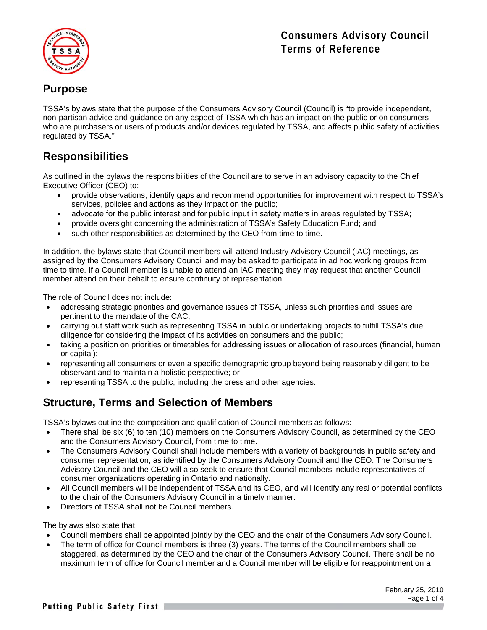



# **Purpose**

TSSA's bylaws state that the purpose of the Consumers Advisory Council (Council) is "to provide independent, non-partisan advice and guidance on any aspect of TSSA which has an impact on the public or on consumers who are purchasers or users of products and/or devices regulated by TSSA, and affects public safety of activities regulated by TSSA."

# **Responsibilities**

As outlined in the bylaws the responsibilities of the Council are to serve in an advisory capacity to the Chief Executive Officer (CEO) to:

- provide observations, identify gaps and recommend opportunities for improvement with respect to TSSA's services, policies and actions as they impact on the public;
- advocate for the public interest and for public input in safety matters in areas regulated by TSSA;
- provide oversight concerning the administration of TSSA's Safety Education Fund; and
- such other responsibilities as determined by the CEO from time to time.

In addition, the bylaws state that Council members will attend Industry Advisory Council (IAC) meetings, as assigned by the Consumers Advisory Council and may be asked to participate in ad hoc working groups from time to time. If a Council member is unable to attend an IAC meeting they may request that another Council member attend on their behalf to ensure continuity of representation.

The role of Council does not include:

- addressing strategic priorities and governance issues of TSSA, unless such priorities and issues are pertinent to the mandate of the CAC;
- carrying out staff work such as representing TSSA in public or undertaking projects to fulfill TSSA's due diligence for considering the impact of its activities on consumers and the public;
- taking a position on priorities or timetables for addressing issues or allocation of resources (financial, human or capital);
- representing all consumers or even a specific demographic group beyond being reasonably diligent to be observant and to maintain a holistic perspective; or
- representing TSSA to the public, including the press and other agencies.

### **Structure, Terms and Selection of Members**

TSSA's bylaws outline the composition and qualification of Council members as follows:

- There shall be six (6) to ten (10) members on the Consumers Advisory Council, as determined by the CEO and the Consumers Advisory Council, from time to time.
- The Consumers Advisory Council shall include members with a variety of backgrounds in public safety and consumer representation, as identified by the Consumers Advisory Council and the CEO. The Consumers Advisory Council and the CEO will also seek to ensure that Council members include representatives of consumer organizations operating in Ontario and nationally.
- All Council members will be independent of TSSA and its CEO, and will identify any real or potential conflicts to the chair of the Consumers Advisory Council in a timely manner.
- Directors of TSSA shall not be Council members.

The bylaws also state that:

- Council members shall be appointed jointly by the CEO and the chair of the Consumers Advisory Council.
- The term of office for Council members is three (3) years. The terms of the Council members shall be staggered, as determined by the CEO and the chair of the Consumers Advisory Council. There shall be no maximum term of office for Council member and a Council member will be eligible for reappointment on a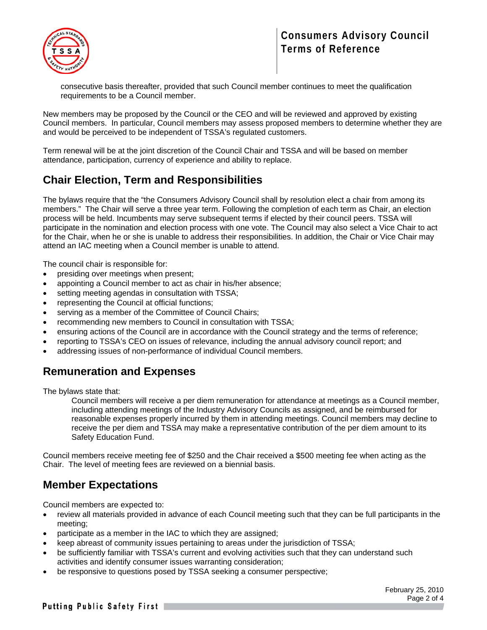

consecutive basis thereafter, provided that such Council member continues to meet the qualification requirements to be a Council member.

New members may be proposed by the Council or the CEO and will be reviewed and approved by existing Council members. In particular, Council members may assess proposed members to determine whether they are and would be perceived to be independent of TSSA's regulated customers.

Term renewal will be at the joint discretion of the Council Chair and TSSA and will be based on member attendance, participation, currency of experience and ability to replace.

# **Chair Election, Term and Responsibilities**

The bylaws require that the "the Consumers Advisory Council shall by resolution elect a chair from among its members." The Chair will serve a three year term. Following the completion of each term as Chair, an election process will be held. Incumbents may serve subsequent terms if elected by their council peers. TSSA will participate in the nomination and election process with one vote. The Council may also select a Vice Chair to act for the Chair, when he or she is unable to address their responsibilities. In addition, the Chair or Vice Chair may attend an IAC meeting when a Council member is unable to attend.

The council chair is responsible for:

- presiding over meetings when present;
- appointing a Council member to act as chair in his/her absence;
- setting meeting agendas in consultation with TSSA;
- representing the Council at official functions;
- serving as a member of the Committee of Council Chairs;
- recommending new members to Council in consultation with TSSA;
- ensuring actions of the Council are in accordance with the Council strategy and the terms of reference;
- reporting to TSSA's CEO on issues of relevance, including the annual advisory council report; and
- addressing issues of non-performance of individual Council members.

#### **Remuneration and Expenses**

The bylaws state that:

Council members will receive a per diem remuneration for attendance at meetings as a Council member, including attending meetings of the Industry Advisory Councils as assigned, and be reimbursed for reasonable expenses properly incurred by them in attending meetings. Council members may decline to receive the per diem and TSSA may make a representative contribution of the per diem amount to its Safety Education Fund.

Council members receive meeting fee of \$250 and the Chair received a \$500 meeting fee when acting as the Chair. The level of meeting fees are reviewed on a biennial basis.

### **Member Expectations**

Council members are expected to:

- review all materials provided in advance of each Council meeting such that they can be full participants in the meeting;
- participate as a member in the IAC to which they are assigned;
- keep abreast of community issues pertaining to areas under the jurisdiction of TSSA;
- be sufficiently familiar with TSSA's current and evolving activities such that they can understand such activities and identify consumer issues warranting consideration;
- be responsive to questions posed by TSSA seeking a consumer perspective;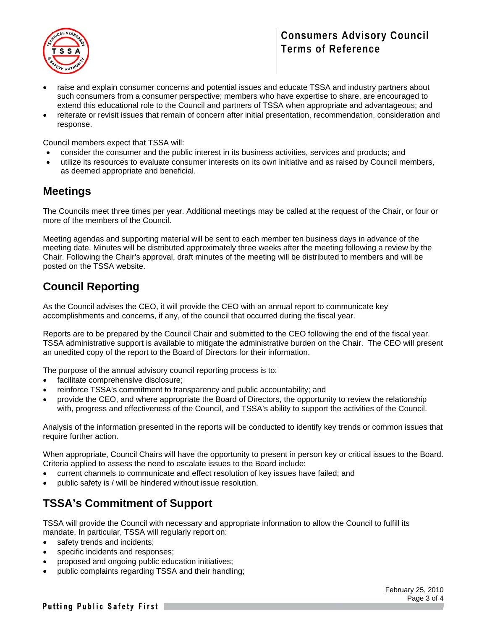

- raise and explain consumer concerns and potential issues and educate TSSA and industry partners about such consumers from a consumer perspective; members who have expertise to share, are encouraged to extend this educational role to the Council and partners of TSSA when appropriate and advantageous; and
- reiterate or revisit issues that remain of concern after initial presentation, recommendation, consideration and response.

Council members expect that TSSA will:

- consider the consumer and the public interest in its business activities, services and products; and
- utilize its resources to evaluate consumer interests on its own initiative and as raised by Council members, as deemed appropriate and beneficial.

#### **Meetings**

The Councils meet three times per year. Additional meetings may be called at the request of the Chair, or four or more of the members of the Council.

Meeting agendas and supporting material will be sent to each member ten business days in advance of the meeting date. Minutes will be distributed approximately three weeks after the meeting following a review by the Chair. Following the Chair's approval, draft minutes of the meeting will be distributed to members and will be posted on the TSSA website.

# **Council Reporting**

As the Council advises the CEO, it will provide the CEO with an annual report to communicate key accomplishments and concerns, if any, of the council that occurred during the fiscal year.

Reports are to be prepared by the Council Chair and submitted to the CEO following the end of the fiscal year. TSSA administrative support is available to mitigate the administrative burden on the Chair. The CEO will present an unedited copy of the report to the Board of Directors for their information.

The purpose of the annual advisory council reporting process is to:

- facilitate comprehensive disclosure;
- reinforce TSSA's commitment to transparency and public accountability; and
- provide the CEO, and where appropriate the Board of Directors, the opportunity to review the relationship with, progress and effectiveness of the Council, and TSSA's ability to support the activities of the Council.

Analysis of the information presented in the reports will be conducted to identify key trends or common issues that require further action.

When appropriate, Council Chairs will have the opportunity to present in person key or critical issues to the Board. Criteria applied to assess the need to escalate issues to the Board include:

- current channels to communicate and effect resolution of key issues have failed; and
- public safety is / will be hindered without issue resolution.

### **TSSA's Commitment of Support**

TSSA will provide the Council with necessary and appropriate information to allow the Council to fulfill its mandate. In particular, TSSA will regularly report on:

- safety trends and incidents;
- specific incidents and responses;
- proposed and ongoing public education initiatives;
- public complaints regarding TSSA and their handling;